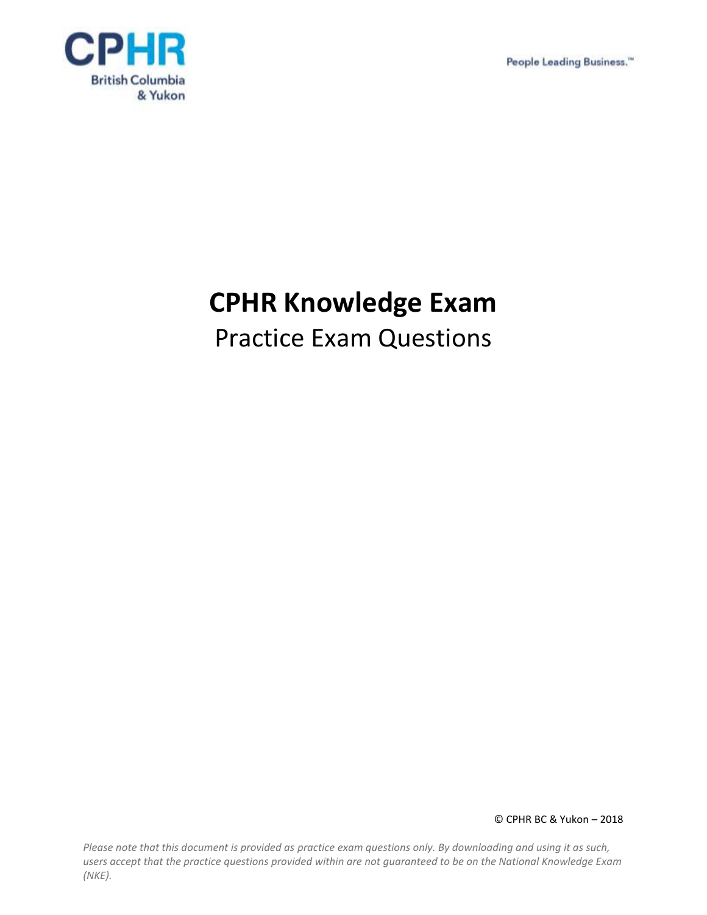People Leading Business."



# **CPHR Knowledge Exam**

# Practice Exam Questions

© CPHR BC & Yukon – 2018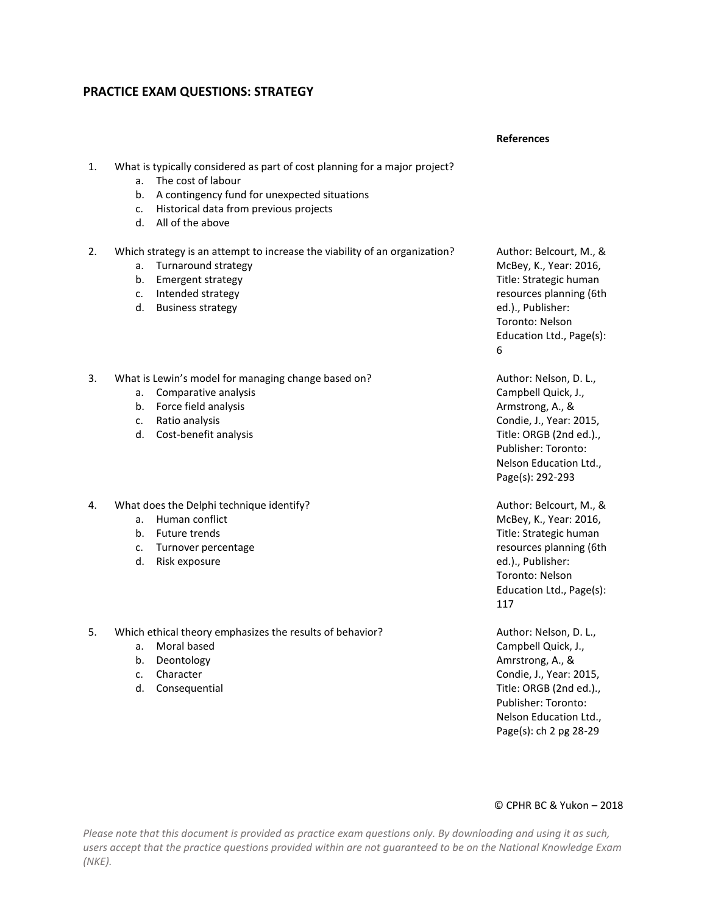## **PRACTICE EXAM QUESTIONS: STRATEGY**

#### **References**

- 1. What is typically considered as part of cost planning for a major project?
	- a. The cost of labour
	- b. A contingency fund for unexpected situations
	- c. Historical data from previous projects
	- d. All of the above
- 2. Which strategy is an attempt to increase the viability of an organization?
	- a. Turnaround strategy
	- b. Emergent strategy
	- c. Intended strategy
	- d. Business strategy
- 3. What is Lewin's model for managing change based on?
	- a. Comparative analysis
	- b. Force field analysis
	- c. Ratio analysis
	- d. Cost-benefit analysis
- 4. What does the Delphi technique identify?
	- a. Human conflict
	- b. Future trends
	- c. Turnover percentage
	- d. Risk exposure
- 5. Which ethical theory emphasizes the results of behavior?
	- a. Moral based
	- b. Deontology
	- c. Character
	- d. Consequential

Author: Belcourt, M., & McBey, K., Year: 2016, Title: Strategic human resources planning (6th ed.)., Publisher: Toronto: Nelson Education Ltd., Page(s): 6

Author: Nelson, D. L., Campbell Quick, J., Armstrong, A., & Condie, J., Year: 2015, Title: ORGB (2nd ed.)., Publisher: Toronto: Nelson Education Ltd., Page(s): 292-293

Author: Belcourt, M., & McBey, K., Year: 2016, Title: Strategic human resources planning (6th ed.)., Publisher: Toronto: Nelson Education Ltd., Page(s): 117

Author: Nelson, D. L., Campbell Quick, J., Amrstrong, A., & Condie, J., Year: 2015, Title: ORGB (2nd ed.)., Publisher: Toronto: Nelson Education Ltd., Page(s): ch 2 pg 28-29

#### © CPHR BC & Yukon – 2018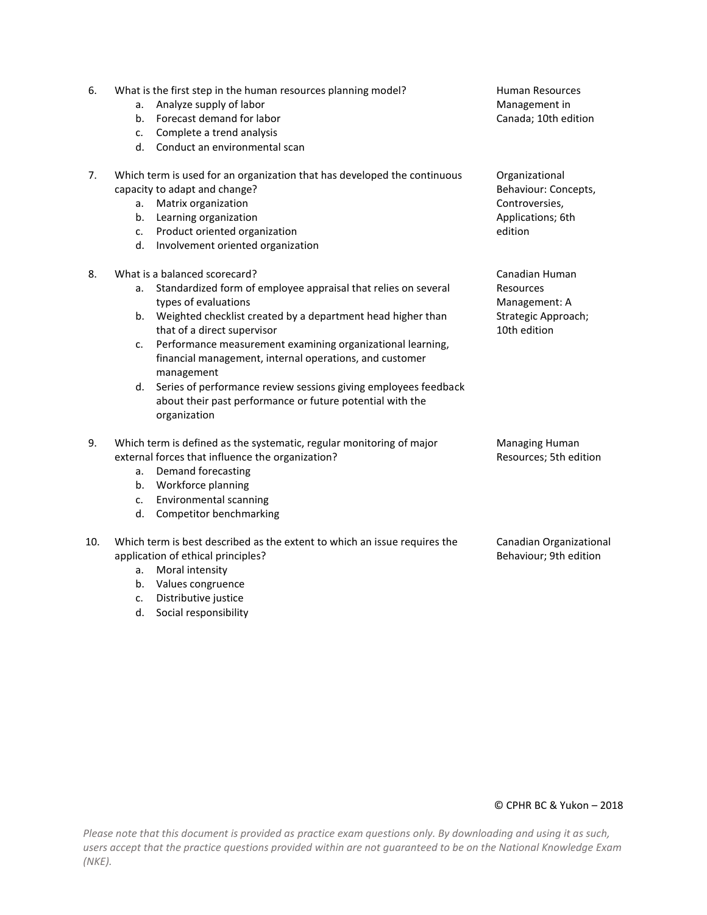| 6.  | What is the first step in the human resources planning model?<br>Analyze supply of labor<br>a.<br>Forecast demand for labor<br>b.<br>Complete a trend analysis<br>c.<br>d. Conduct an environmental scan                                                                                                                                                                                                                                                                                                                             | <b>Human Resources</b><br>Management in<br>Canada; 10th edition                          |
|-----|--------------------------------------------------------------------------------------------------------------------------------------------------------------------------------------------------------------------------------------------------------------------------------------------------------------------------------------------------------------------------------------------------------------------------------------------------------------------------------------------------------------------------------------|------------------------------------------------------------------------------------------|
| 7.  | Which term is used for an organization that has developed the continuous<br>capacity to adapt and change?<br>Matrix organization<br>а.<br>b.<br>Learning organization<br>Product oriented organization<br>c.<br>d.<br>Involvement oriented organization                                                                                                                                                                                                                                                                              | Organizational<br>Behaviour: Concepts,<br>Controversies,<br>Applications; 6th<br>edition |
| 8.  | What is a balanced scorecard?<br>Standardized form of employee appraisal that relies on several<br>a.<br>types of evaluations<br>Weighted checklist created by a department head higher than<br>b.<br>that of a direct supervisor<br>Performance measurement examining organizational learning,<br>c.<br>financial management, internal operations, and customer<br>management<br>Series of performance review sessions giving employees feedback<br>d.<br>about their past performance or future potential with the<br>organization | Canadian Human<br>Resources<br>Management: A<br>Strategic Approach;<br>10th edition      |
| 9.  | Which term is defined as the systematic, regular monitoring of major<br>external forces that influence the organization?<br>Demand forecasting<br>a.<br>b. Workforce planning<br>Environmental scanning<br>c.<br>d.<br>Competitor benchmarking                                                                                                                                                                                                                                                                                       | <b>Managing Human</b><br>Resources; 5th edition                                          |
| 10. | Which term is best described as the extent to which an issue requires the<br>application of ethical principles?<br>Moral intensity<br>a.<br>Values congruence<br>b.                                                                                                                                                                                                                                                                                                                                                                  | Canadian Organizational<br>Behaviour; 9th edition                                        |

*Please note that this document is provided as practice exam questions only. By downloading and using it as such, users accept that the practice questions provided within are not guaranteed to be on the National Knowledge Exam (NKE).*

c. Distributive justice d. Social responsibility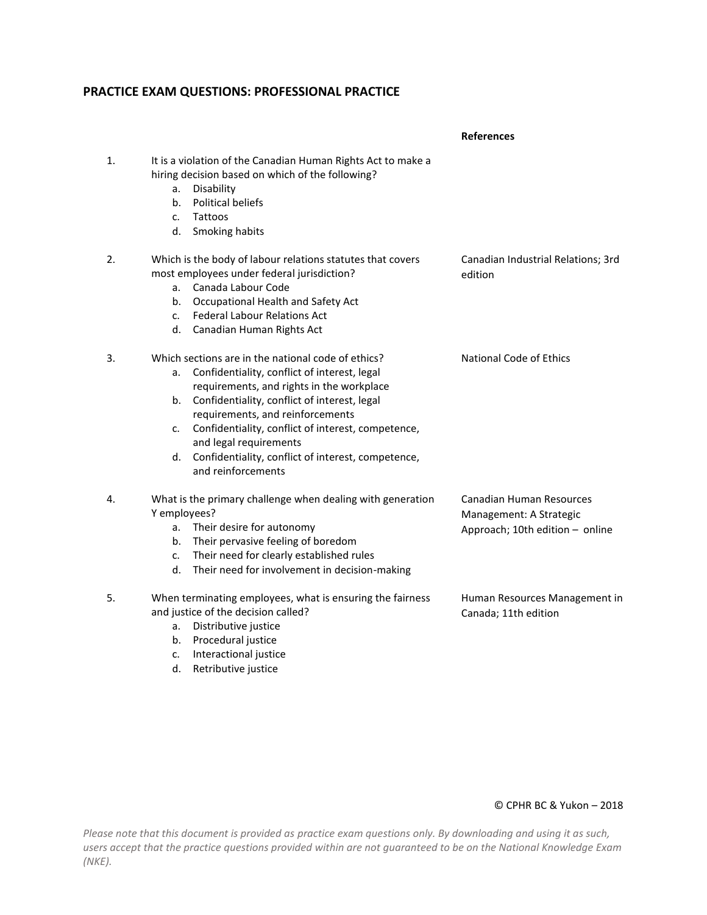## **PRACTICE EXAM QUESTIONS: PROFESSIONAL PRACTICE**

|    |                                                                                                                                                                                                                                                                                                                                                                                                                         | <b>References</b>                                                                      |
|----|-------------------------------------------------------------------------------------------------------------------------------------------------------------------------------------------------------------------------------------------------------------------------------------------------------------------------------------------------------------------------------------------------------------------------|----------------------------------------------------------------------------------------|
| 1. | It is a violation of the Canadian Human Rights Act to make a<br>hiring decision based on which of the following?<br>Disability<br>a.<br><b>Political beliefs</b><br>b.<br>Tattoos<br>c.<br>Smoking habits<br>d.                                                                                                                                                                                                         |                                                                                        |
| 2. | Which is the body of labour relations statutes that covers<br>most employees under federal jurisdiction?<br>Canada Labour Code<br>a.<br>Occupational Health and Safety Act<br>b.<br><b>Federal Labour Relations Act</b><br>c.<br>Canadian Human Rights Act<br>d.                                                                                                                                                        | Canadian Industrial Relations; 3rd<br>edition                                          |
| 3. | Which sections are in the national code of ethics?<br>Confidentiality, conflict of interest, legal<br>a.<br>requirements, and rights in the workplace<br>Confidentiality, conflict of interest, legal<br>b.<br>requirements, and reinforcements<br>Confidentiality, conflict of interest, competence,<br>c.<br>and legal requirements<br>Confidentiality, conflict of interest, competence,<br>d.<br>and reinforcements | <b>National Code of Ethics</b>                                                         |
| 4. | What is the primary challenge when dealing with generation<br>Y employees?<br>Their desire for autonomy<br>a.<br>Their pervasive feeling of boredom<br>b.<br>Their need for clearly established rules<br>c.<br>Their need for involvement in decision-making<br>d.                                                                                                                                                      | Canadian Human Resources<br>Management: A Strategic<br>Approach; 10th edition - online |
| 5. | When terminating employees, what is ensuring the fairness<br>and justice of the decision called?<br>Distributive justice<br>a.<br>Procedural justice<br>b.<br>Interactional justice<br>c.<br>Retributive justice<br>d.                                                                                                                                                                                                  | Human Resources Management in<br>Canada; 11th edition                                  |

#### © CPHR BC & Yukon – 2018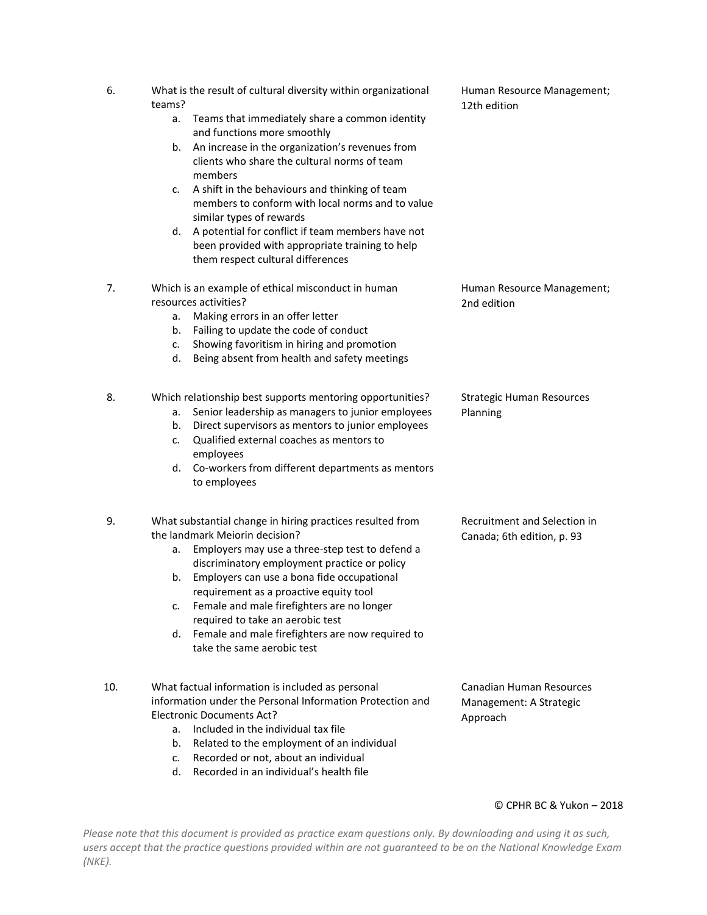| 6.  | What is the result of cultural diversity within organizational<br>teams?                                                                                                                                                                                                                                                                                                                                                                                                           | Human Resource Management;<br>12th edition                             |
|-----|------------------------------------------------------------------------------------------------------------------------------------------------------------------------------------------------------------------------------------------------------------------------------------------------------------------------------------------------------------------------------------------------------------------------------------------------------------------------------------|------------------------------------------------------------------------|
|     | Teams that immediately share a common identity<br>а.<br>and functions more smoothly                                                                                                                                                                                                                                                                                                                                                                                                |                                                                        |
|     | An increase in the organization's revenues from<br>b.<br>clients who share the cultural norms of team<br>members                                                                                                                                                                                                                                                                                                                                                                   |                                                                        |
|     | A shift in the behaviours and thinking of team<br>c.<br>members to conform with local norms and to value<br>similar types of rewards                                                                                                                                                                                                                                                                                                                                               |                                                                        |
|     | A potential for conflict if team members have not<br>d.<br>been provided with appropriate training to help<br>them respect cultural differences                                                                                                                                                                                                                                                                                                                                    |                                                                        |
| 7.  | Which is an example of ethical misconduct in human<br>resources activities?<br>Making errors in an offer letter<br>a.<br>Failing to update the code of conduct<br>b.<br>Showing favoritism in hiring and promotion<br>c.<br>Being absent from health and safety meetings<br>d.                                                                                                                                                                                                     | Human Resource Management;<br>2nd edition                              |
| 8.  | Which relationship best supports mentoring opportunities?<br>Senior leadership as managers to junior employees<br>a.<br>Direct supervisors as mentors to junior employees<br>b.<br>Qualified external coaches as mentors to<br>c.<br>employees<br>d. Co-workers from different departments as mentors<br>to employees                                                                                                                                                              | <b>Strategic Human Resources</b><br>Planning                           |
| 9.  | What substantial change in hiring practices resulted from<br>the landmark Meiorin decision?<br>Employers may use a three-step test to defend a<br>a.<br>discriminatory employment practice or policy<br>Employers can use a bona fide occupational<br>b.<br>requirement as a proactive equity tool<br>Female and male firefighters are no longer<br>c.<br>required to take an aerobic test<br>Female and male firefighters are now required to<br>d.<br>take the same aerobic test | Recruitment and Selection in<br>Canada; 6th edition, p. 93             |
| 10. | What factual information is included as personal<br>information under the Personal Information Protection and<br>Electronic Documents Act?<br>Included in the individual tax file<br>a.<br>Related to the employment of an individual<br>b.<br>Recorded or not, about an individual<br>c.                                                                                                                                                                                          | <b>Canadian Human Resources</b><br>Management: A Strategic<br>Approach |

*Please note that this document is provided as practice exam questions only. By downloading and using it as such, users accept that the practice questions provided within are not guaranteed to be on the National Knowledge Exam (NKE).*

d. Recorded in an individual's health file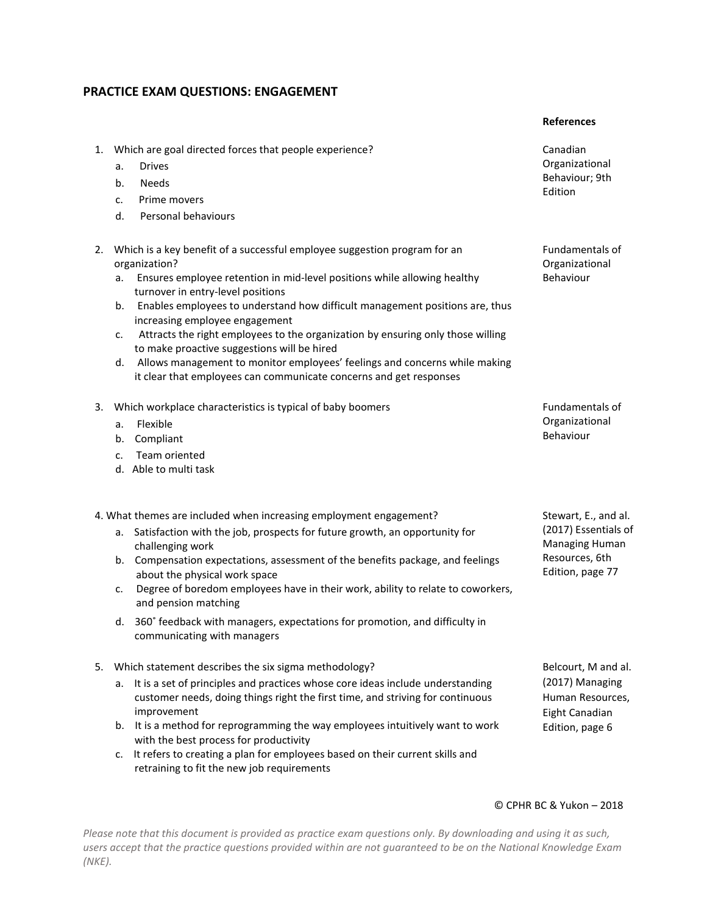## **PRACTICE EXAM QUESTIONS: ENGAGEMENT**

#### **References**

- 1. Which are goal directed forces that people experience? Canadian
	- a. Drives
	- b. Needs
	- c. Prime movers
	- d. Personal behaviours
- 2. Which is a key benefit of a successful employee suggestion program for an organization?
	- a. Ensures employee retention in mid-level positions while allowing healthy Behaviour turnover in entry-level positions
	- b. Enables employees to understand how difficult management positions are, thus increasing employee engagement
	- c. Attracts the right employees to the organization by ensuring only those willing to make proactive suggestions will be hired
	- d. Allows management to monitor employees' feelings and concerns while making it clear that employees can communicate concerns and get responses
- 3. Which workplace characteristics is typical of baby boomers Fundamentals of
	- a. Flexible
	- b. Compliant
	- c. Team oriented
	- d. Able to multi task

4. What themes are included when increasing employment engagement? Stewart, E., and al.

- a. Satisfaction with the job, prospects for future growth, an opportunity for challenging work
- b. Compensation expectations, assessment of the benefits package, and feelings about the physical work space
- c. Degree of boredom employees have in their work, ability to relate to coworkers, and pension matching
- d. 360˚ feedback with managers, expectations for promotion, and difficulty in communicating with managers
- 5. Which statement describes the six sigma methodology? The statement of the Belcourt, M and al.
	- a. It is a set of principles and practices whose core ideas include understanding customer needs, doing things right the first time, and striving for continuous improvement
	- b. It is a method for reprogramming the way employees intuitively want to work with the best process for productivity
	- c. It refers to creating a plan for employees based on their current skills and retraining to fit the new job requirements

Organizational Behaviour; 9th Edition

Fundamentals of Organizational

Organizational Behaviour

(2017) Essentials of Managing Human Resources, 6th Edition, page 77

(2017) Managing Human Resources, Eight Canadian Edition, page 6

#### © CPHR BC & Yukon – 2018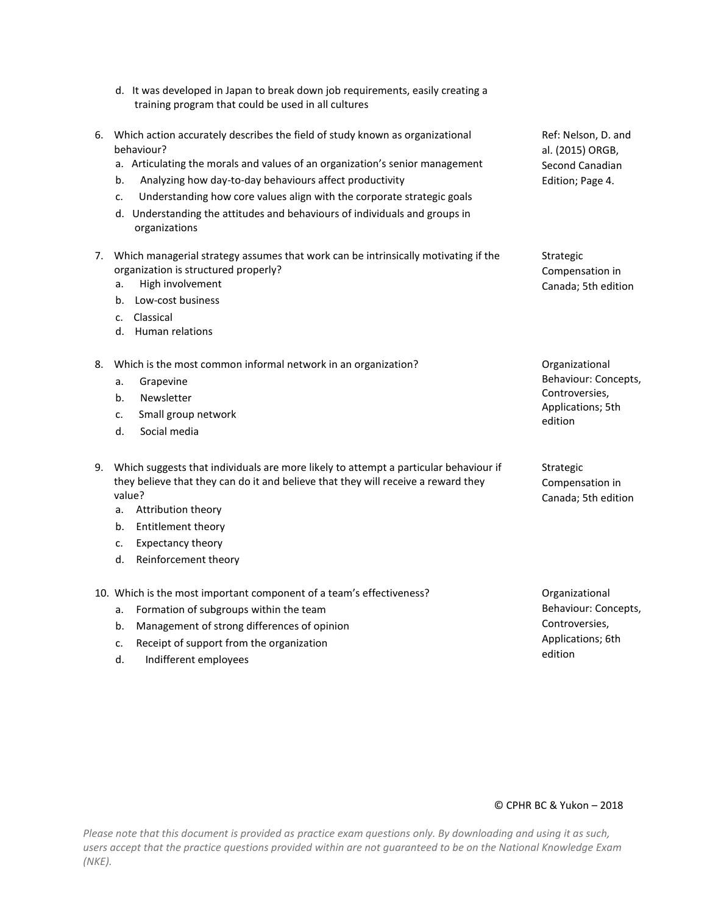- d. It was developed in Japan to break down job requirements, easily creating a training program that could be used in all cultures
- 6. Which action accurately describes the field of study known as organizational behaviour?
	- a. Articulating the morals and values of an organization's senior management
	- b. Analyzing how day-to-day behaviours affect productivity
	- c. Understanding how core values align with the corporate strategic goals
	- d. Understanding the attitudes and behaviours of individuals and groups in organizations
- 7. Which managerial strategy assumes that work can be intrinsically motivating if the organization is structured properly?
	- a. High involvement can be a state of the canada; 5th edition
	- b. Low-cost business
	- c. Classical
	- d. Human relations

8. Which is the most common informal network in an organization? The contractional organizational

- a. Grapevine
- b. Newsletter
- c. Small group network
- d. Social media

9. Which suggests that individuals are more likely to attempt a particular behaviour if they believe that they can do it and believe that they will receive a reward they value?

- a. Attribution theory
- b. Entitlement theory
- c. Expectancy theory
- d. Reinforcement theory

10. Which is the most important component of a team's effectiveness? The Component of a team's effectiveness?

- a. Formation of subgroups within the team
- b. Management of strong differences of opinion
- c. Receipt of support from the organization
- d. Indifferent employees

Strategic Compensation in

Ref: Nelson, D. and al. (2015) ORGB, Second Canadian Edition; Page 4.

Behaviour: Concepts, Controversies, Applications; 5th edition

Strategic Compensation in Canada; 5th edition

Behaviour: Concepts, Controversies, Applications; 6th edition

#### © CPHR BC & Yukon – 2018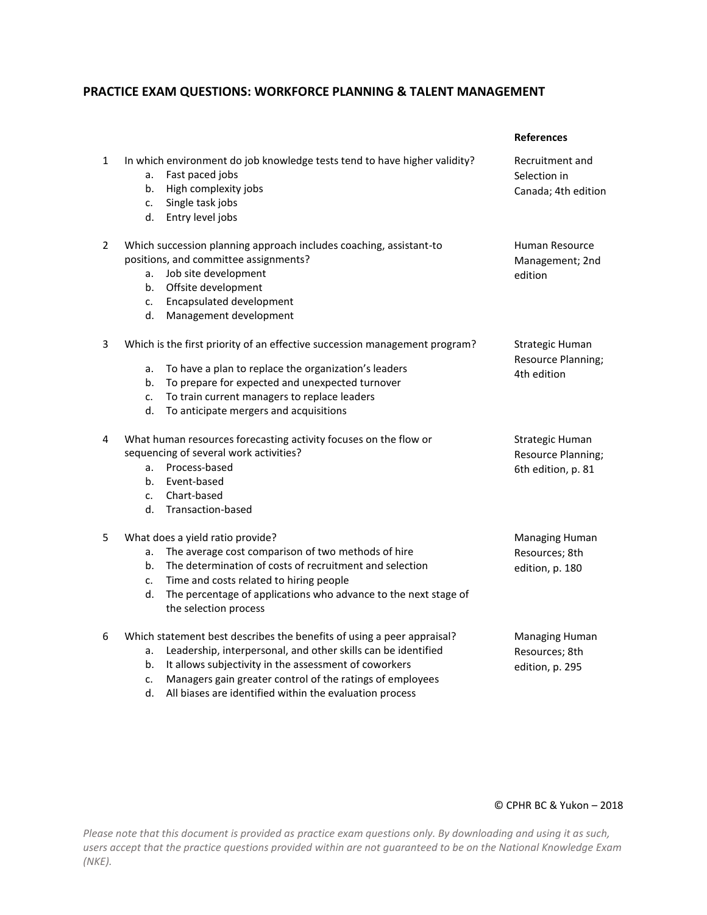## **PRACTICE EXAM QUESTIONS: WORKFORCE PLANNING & TALENT MANAGEMENT**

|              |                                                                                                                                                                                                                                                                                                                  | <b>References</b>                                           |
|--------------|------------------------------------------------------------------------------------------------------------------------------------------------------------------------------------------------------------------------------------------------------------------------------------------------------------------|-------------------------------------------------------------|
| $\mathbf{1}$ | In which environment do job knowledge tests tend to have higher validity?<br>Fast paced jobs<br>a.<br>High complexity jobs<br>b.<br>Single task jobs<br>c.<br>Entry level jobs<br>d.                                                                                                                             | Recruitment and<br>Selection in<br>Canada; 4th edition      |
| 2            | Which succession planning approach includes coaching, assistant-to<br>positions, and committee assignments?<br>Job site development<br>a.<br>Offsite development<br>b.<br>Encapsulated development<br>c.<br>Management development<br>d.                                                                         | Human Resource<br>Management; 2nd<br>edition                |
| 3            | Which is the first priority of an effective succession management program?<br>To have a plan to replace the organization's leaders<br>а.<br>To prepare for expected and unexpected turnover<br>b.<br>To train current managers to replace leaders<br>c.<br>To anticipate mergers and acquisitions<br>d.          | Strategic Human<br>Resource Planning;<br>4th edition        |
| 4            | What human resources forecasting activity focuses on the flow or<br>sequencing of several work activities?<br>Process-based<br>a.<br>Event-based<br>b.<br>Chart-based<br>c.<br>Transaction-based<br>d.                                                                                                           | Strategic Human<br>Resource Planning;<br>6th edition, p. 81 |
| 5            | What does a yield ratio provide?<br>The average cost comparison of two methods of hire<br>a.<br>The determination of costs of recruitment and selection<br>b.<br>Time and costs related to hiring people<br>c.<br>The percentage of applications who advance to the next stage of<br>d.<br>the selection process | Managing Human<br>Resources; 8th<br>edition, p. 180         |
| 6            | Which statement best describes the benefits of using a peer appraisal?<br>Leadership, interpersonal, and other skills can be identified<br>a.<br>It allows subjectivity in the assessment of coworkers<br>b.<br>Managers gain greater control of the ratings of employees<br>c.                                  | Managing Human<br>Resources; 8th<br>edition, p. 295         |

d. All biases are identified within the evaluation process

### © CPHR BC & Yukon – 2018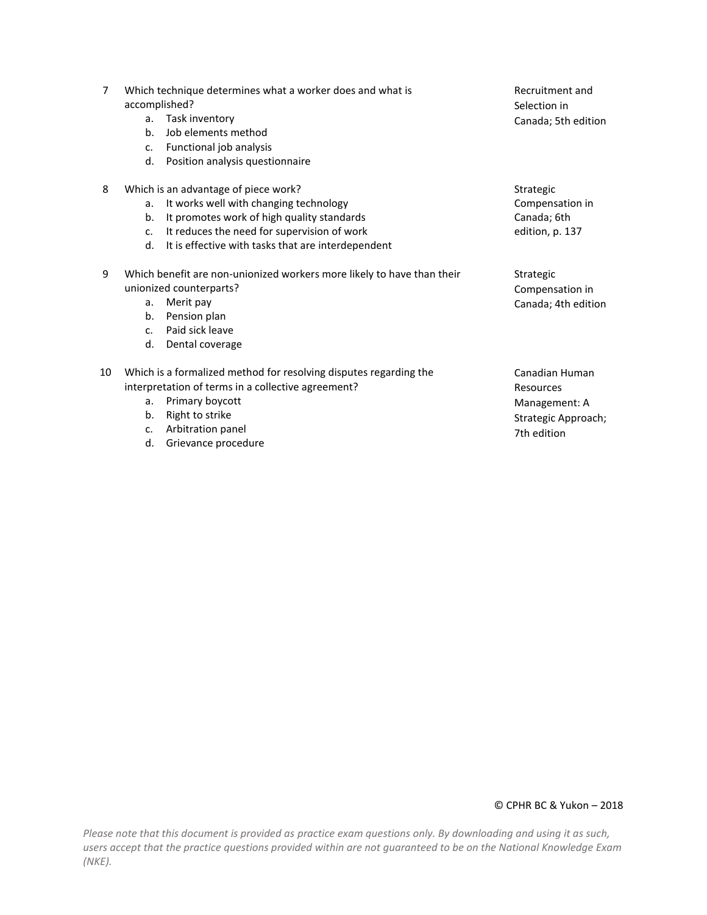| $\overline{7}$ | Which technique determines what a worker does and what is<br>accomplished? |                                                                        | Recruitment and<br>Selection in |
|----------------|----------------------------------------------------------------------------|------------------------------------------------------------------------|---------------------------------|
|                | a.                                                                         | Task inventory                                                         | Canada; 5th edition             |
|                | b.                                                                         | Job elements method                                                    |                                 |
|                | c.                                                                         | Functional job analysis                                                |                                 |
|                | d.                                                                         | Position analysis questionnaire                                        |                                 |
| 8              |                                                                            | Which is an advantage of piece work?                                   | Strategic                       |
|                | a.                                                                         | It works well with changing technology                                 | Compensation in                 |
|                | b.                                                                         | It promotes work of high quality standards                             | Canada; 6th                     |
|                | $\mathsf{C}$ .                                                             | It reduces the need for supervision of work                            | edition, p. 137                 |
|                | d.                                                                         | It is effective with tasks that are interdependent                     |                                 |
| 9              |                                                                            | Which benefit are non-unionized workers more likely to have than their | Strategic                       |
|                | unionized counterparts?                                                    |                                                                        | Compensation in                 |
|                | a.                                                                         | Merit pay                                                              | Canada; 4th edition             |
|                | b.                                                                         | Pension plan                                                           |                                 |
|                | C <sub>1</sub>                                                             | Paid sick leave                                                        |                                 |
|                | d.                                                                         | Dental coverage                                                        |                                 |
|                |                                                                            |                                                                        |                                 |

- 10 Which is a formalized method for resolving disputes regarding the interpretation of terms in a collective agreement?
	- a. Primary boycott
	- b. Right to strike
	- c. Arbitration panel
	- d. Grievance procedure

Canadian Human Resources Management: A Strategic Approach;

7th edition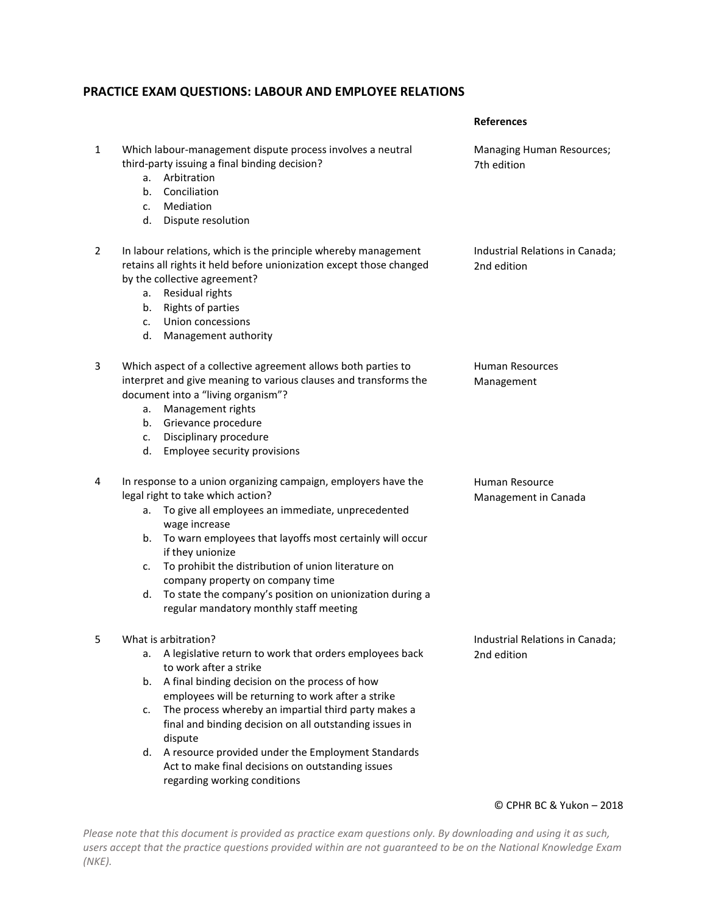## **PRACTICE EXAM QUESTIONS: LABOUR AND EMPLOYEE RELATIONS**

|   |                                                                                                                                                                                                                                                                                                                                                                                                                                                                                                                    | <b>References</b>                              |
|---|--------------------------------------------------------------------------------------------------------------------------------------------------------------------------------------------------------------------------------------------------------------------------------------------------------------------------------------------------------------------------------------------------------------------------------------------------------------------------------------------------------------------|------------------------------------------------|
| 1 | Which labour-management dispute process involves a neutral<br>third-party issuing a final binding decision?<br>Arbitration<br>a.<br>Conciliation<br>b.<br>Mediation<br>c.<br>d.<br>Dispute resolution                                                                                                                                                                                                                                                                                                              | Managing Human Resources;<br>7th edition       |
| 2 | In labour relations, which is the principle whereby management<br>retains all rights it held before unionization except those changed<br>by the collective agreement?<br>Residual rights<br>a.<br>Rights of parties<br>b.<br>Union concessions<br>$\mathsf{C}$ .<br>d.<br>Management authority                                                                                                                                                                                                                     | Industrial Relations in Canada;<br>2nd edition |
| 3 | Which aspect of a collective agreement allows both parties to<br>interpret and give meaning to various clauses and transforms the<br>document into a "living organism"?<br>Management rights<br>a.<br>Grievance procedure<br>b.<br>Disciplinary procedure<br>$\mathsf{C}$ .<br>Employee security provisions<br>d.                                                                                                                                                                                                  | <b>Human Resources</b><br>Management           |
| 4 | In response to a union organizing campaign, employers have the<br>legal right to take which action?<br>a. To give all employees an immediate, unprecedented<br>wage increase<br>To warn employees that layoffs most certainly will occur<br>b.<br>if they unionize<br>To prohibit the distribution of union literature on<br>c.<br>company property on company time<br>To state the company's position on unionization during a<br>d.<br>regular mandatory monthly staff meeting                                   | Human Resource<br>Management in Canada         |
| 5 | What is arbitration?<br>A legislative return to work that orders employees back<br>a.<br>to work after a strike<br>A final binding decision on the process of how<br>b.<br>employees will be returning to work after a strike<br>The process whereby an impartial third party makes a<br>c.<br>final and binding decision on all outstanding issues in<br>dispute<br>A resource provided under the Employment Standards<br>d.<br>Act to make final decisions on outstanding issues<br>regarding working conditions | Industrial Relations in Canada;<br>2nd edition |

© CPHR BC & Yukon – 2018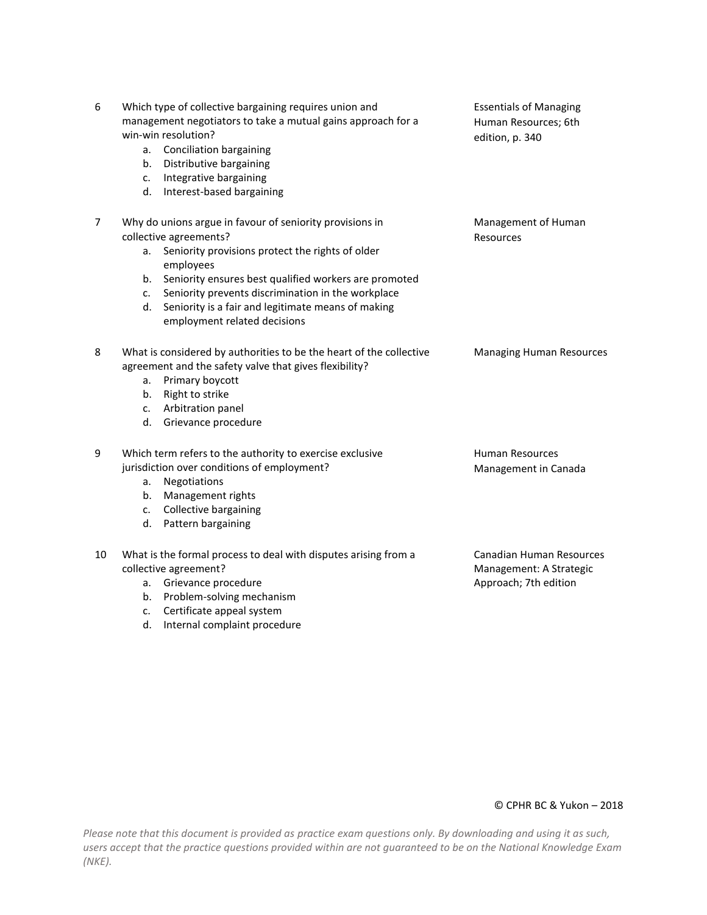| 6  | Which type of collective bargaining requires union and<br>management negotiators to take a mutual gains approach for a<br>win-win resolution?<br><b>Conciliation bargaining</b><br>a.<br>Distributive bargaining<br>b.<br>Integrative bargaining<br>c.<br>d.<br>Interest-based bargaining                                                                                        | <b>Essentials of Managing</b><br>Human Resources; 6th<br>edition, p. 340     |
|----|----------------------------------------------------------------------------------------------------------------------------------------------------------------------------------------------------------------------------------------------------------------------------------------------------------------------------------------------------------------------------------|------------------------------------------------------------------------------|
| 7  | Why do unions argue in favour of seniority provisions in<br>collective agreements?<br>Seniority provisions protect the rights of older<br>а.<br>employees<br>Seniority ensures best qualified workers are promoted<br>b.<br>Seniority prevents discrimination in the workplace<br>c.<br>Seniority is a fair and legitimate means of making<br>d.<br>employment related decisions | Management of Human<br><b>Resources</b>                                      |
| 8  | What is considered by authorities to be the heart of the collective<br>agreement and the safety valve that gives flexibility?<br>Primary boycott<br>а.<br>Right to strike<br>b.<br>Arbitration panel<br>$c_{\cdot}$<br>Grievance procedure<br>d.                                                                                                                                 | <b>Managing Human Resources</b>                                              |
| 9  | Which term refers to the authority to exercise exclusive<br>jurisdiction over conditions of employment?<br>Negotiations<br>а.<br>b.<br>Management rights<br>Collective bargaining<br>c.<br>d.<br>Pattern bargaining                                                                                                                                                              | <b>Human Resources</b><br>Management in Canada                               |
| 10 | What is the formal process to deal with disputes arising from a<br>collective agreement?<br>Grievance procedure<br>а.<br>Problem-solving mechanism<br>b.<br>Certificate appeal system<br>c.<br>Internal complaint procedure<br>d.                                                                                                                                                | Canadian Human Resources<br>Management: A Strategic<br>Approach; 7th edition |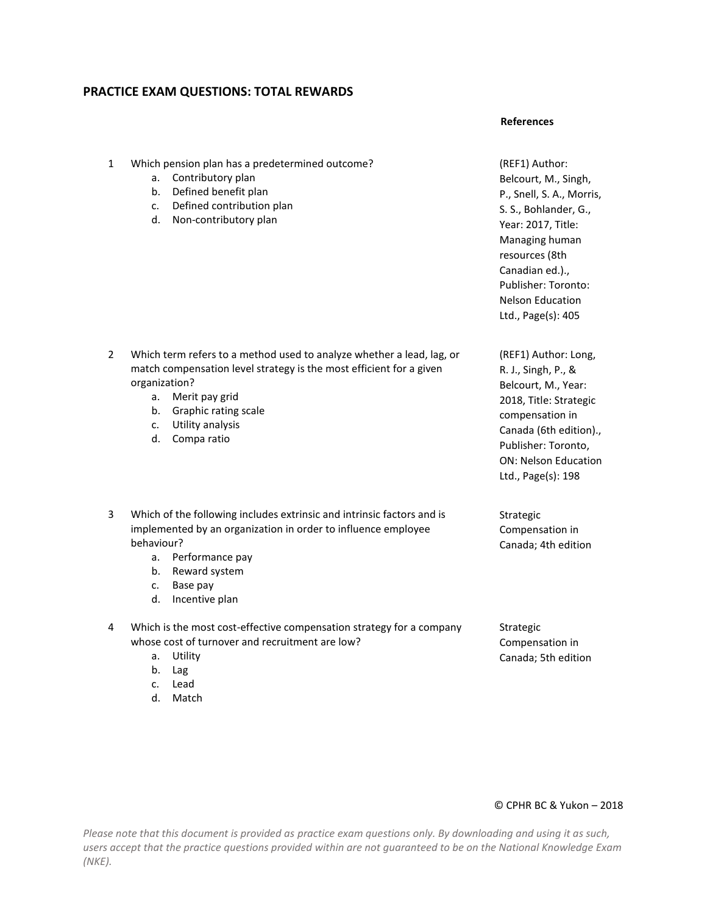## **PRACTICE EXAM QUESTIONS: TOTAL REWARDS**

#### **References**

- 1 Which pension plan has a predetermined outcome?
	- a. Contributory plan
	- b. Defined benefit plan
	- c. Defined contribution plan
	- d. Non-contributory plan

- 2 Which term refers to a method used to analyze whether a lead, lag, or match compensation level strategy is the most efficient for a given organization?
	- a. Merit pay grid
	- b. Graphic rating scale
	- c. Utility analysis
	- d. Compa ratio
- 3 Which of the following includes extrinsic and intrinsic factors and is implemented by an organization in order to influence employee behaviour?
	- a. Performance pay
	- b. Reward system
	- c. Base pay
	- d. Incentive plan
- 4 Which is the most cost-effective compensation strategy for a company whose cost of turnover and recruitment are low?
	- a. Utility
	- b. Lag
	- c. Lead
	- d. Match

(REF1) Author: Belcourt, M., Singh, P., Snell, S. A., Morris, S. S., Bohlander, G., Year: 2017, Title: Managing human resources (8th Canadian ed.)., Publisher: Toronto: Nelson Education Ltd., Page(s): 405

(REF1) Author: Long, R. J., Singh, P., & Belcourt, M., Year: 2018, Title: Strategic compensation in Canada (6th edition)., Publisher: Toronto, ON: Nelson Education Ltd., Page(s): 198

Strategic Compensation in Canada; 4th edition

Strategic Compensation in Canada; 5th edition

#### © CPHR BC & Yukon – 2018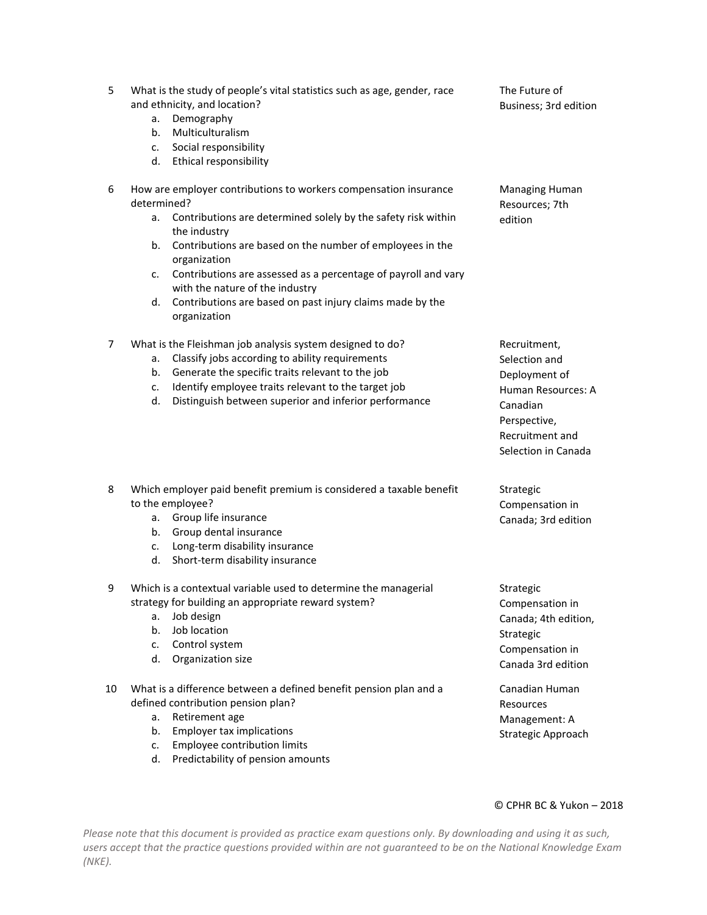| What is the study of people's vital statistics such as age, gender, race |  |
|--------------------------------------------------------------------------|--|
| and ethnicity, and location?                                             |  |

- a. Demography
- b. Multiculturalism
- c. Social responsibility
- d. Ethical responsibility

#### 6 How are employer contributions to workers compensation insurance determined?

- a. Contributions are determined solely by the safety risk within the industry
- b. Contributions are based on the number of employees in the organization
- c. Contributions are assessed as a percentage of payroll and vary with the nature of the industry
- d. Contributions are based on past injury claims made by the organization
- 7 What is the Fleishman job analysis system designed to do?
	- a. Classify jobs according to ability requirements
	- b. Generate the specific traits relevant to the job
	- c. Identify employee traits relevant to the target job
	- d. Distinguish between superior and inferior performance

## 8 Which employer paid benefit premium is considered a taxable benefit to the employee?

- a. Group life insurance
- b. Group dental insurance
- c. Long-term disability insurance
- d. Short-term disability insurance

#### 9 Which is a contextual variable used to determine the managerial strategy for building an appropriate reward system?

- a. Job design
- b. Job location
- c. Control system
- d. Organization size
- 10 What is a difference between a defined benefit pension plan and a defined contribution pension plan?
	- a. Retirement age
	- b. Employer tax implications
	- c. Employee contribution limits
	- d. Predictability of pension amounts

Recruitment, Selection and Deployment of Human Resources: A Canadian Perspective, Recruitment and Selection in Canada

Strategic Compensation in Canada; 3rd edition

Strategic Compensation in Canada; 4th edition, Strategic Compensation in Canada 3rd edition

Canadian Human Resources Management: A Strategic Approach

#### © CPHR BC & Yukon – 2018

*Please note that this document is provided as practice exam questions only. By downloading and using it as such, users accept that the practice questions provided within are not guaranteed to be on the National Knowledge Exam (NKE).*

The Future of Business; 3rd edition

Managing Human Resources; 7th edition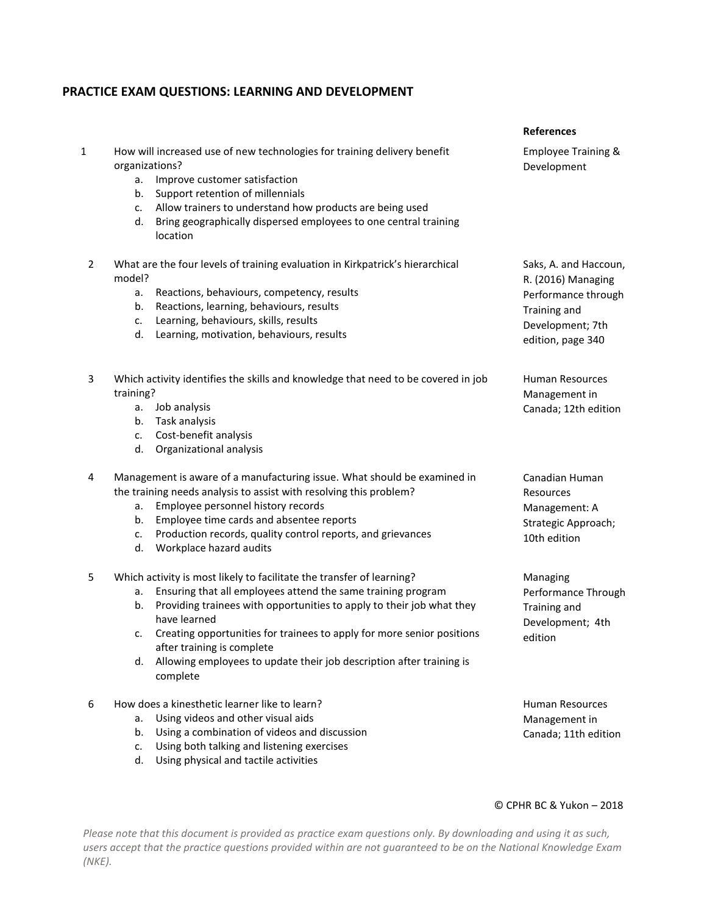## **PRACTICE EXAM QUESTIONS: LEARNING AND DEVELOPMENT**

|   |                                        |                                                                                                                                                                                                                                                                                                                                                                                                                               | <b>References</b>                                                                                                           |
|---|----------------------------------------|-------------------------------------------------------------------------------------------------------------------------------------------------------------------------------------------------------------------------------------------------------------------------------------------------------------------------------------------------------------------------------------------------------------------------------|-----------------------------------------------------------------------------------------------------------------------------|
| 1 | organizations?<br>а.<br>b.<br>c.<br>d. | How will increased use of new technologies for training delivery benefit<br>Improve customer satisfaction<br>Support retention of millennials<br>Allow trainers to understand how products are being used<br>Bring geographically dispersed employees to one central training<br>location                                                                                                                                     | <b>Employee Training &amp;</b><br>Development                                                                               |
| 2 | model?<br>a.<br>b.<br>c.<br>d.         | What are the four levels of training evaluation in Kirkpatrick's hierarchical<br>Reactions, behaviours, competency, results<br>Reactions, learning, behaviours, results<br>Learning, behaviours, skills, results<br>Learning, motivation, behaviours, results                                                                                                                                                                 | Saks, A. and Haccoun,<br>R. (2016) Managing<br>Performance through<br>Training and<br>Development; 7th<br>edition, page 340 |
| 3 | training?<br>а.<br>b.<br>c.<br>d.      | Which activity identifies the skills and knowledge that need to be covered in job<br>Job analysis<br>Task analysis<br>Cost-benefit analysis<br>Organizational analysis                                                                                                                                                                                                                                                        | <b>Human Resources</b><br>Management in<br>Canada; 12th edition                                                             |
| 4 | а.<br>b.<br>c.<br>d.                   | Management is aware of a manufacturing issue. What should be examined in<br>the training needs analysis to assist with resolving this problem?<br>Employee personnel history records<br>Employee time cards and absentee reports<br>Production records, quality control reports, and grievances<br>Workplace hazard audits                                                                                                    | Canadian Human<br>Resources<br>Management: A<br>Strategic Approach;<br>10th edition                                         |
| 5 | a.<br>b.<br>d.                         | Which activity is most likely to facilitate the transfer of learning?<br>Ensuring that all employees attend the same training program<br>Providing trainees with opportunities to apply to their job what they<br>have learned<br>c. Creating opportunities for trainees to apply for more senior positions<br>after training is complete<br>Allowing employees to update their job description after training is<br>complete | Managing<br>Performance Through<br>Training and<br>Development; 4th<br>edition                                              |
| 6 | а.<br>b.<br>c.<br>d.                   | How does a kinesthetic learner like to learn?<br>Using videos and other visual aids<br>Using a combination of videos and discussion<br>Using both talking and listening exercises<br>Using physical and tactile activities                                                                                                                                                                                                    | <b>Human Resources</b><br>Management in<br>Canada; 11th edition                                                             |

## © CPHR BC & Yukon – 2018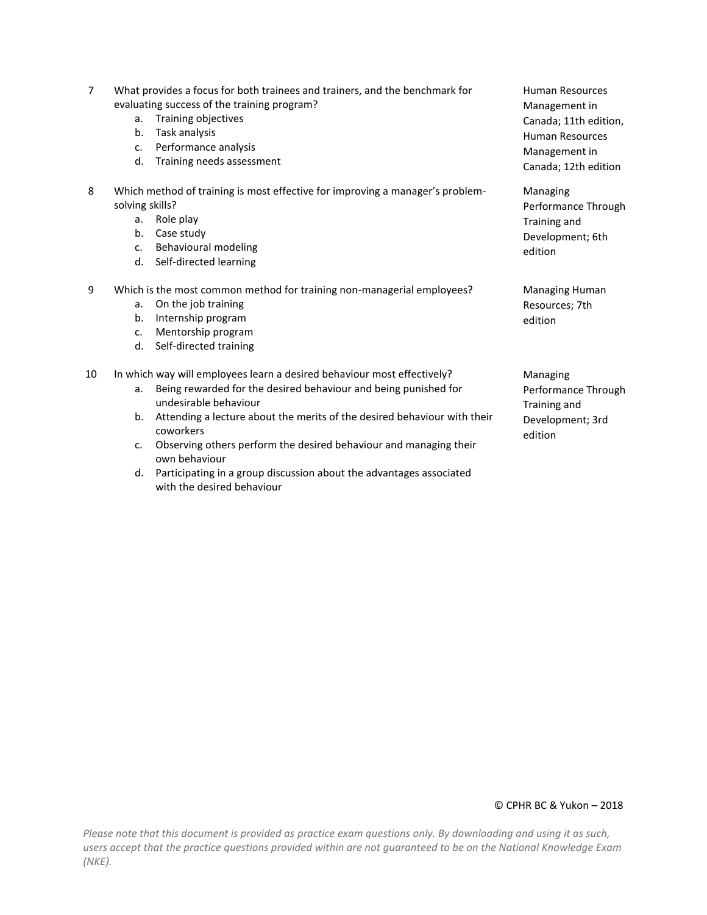| 7  | What provides a focus for both trainees and trainers, and the benchmark for<br>evaluating success of the training program?<br>Training objectives<br>a.<br>Task analysis<br>b.<br>Performance analysis<br>c.<br>Training needs assessment<br>d.                                                                                                                      | <b>Human Resources</b><br>Management in<br>Canada; 11th edition,<br><b>Human Resources</b><br>Management in<br>Canada; 12th edition |
|----|----------------------------------------------------------------------------------------------------------------------------------------------------------------------------------------------------------------------------------------------------------------------------------------------------------------------------------------------------------------------|-------------------------------------------------------------------------------------------------------------------------------------|
| 8  | Which method of training is most effective for improving a manager's problem-<br>solving skills?<br>a. Role play<br>Case study<br>b.<br>Behavioural modeling<br>c.<br>Self-directed learning<br>d.                                                                                                                                                                   | Managing<br>Performance Through<br>Training and<br>Development; 6th<br>edition                                                      |
| 9  | Which is the most common method for training non-managerial employees?<br>On the job training<br>a.<br>Internship program<br>b.<br>Mentorship program<br>$\mathsf{C}$ .<br>Self-directed training<br>d.                                                                                                                                                              | Managing Human<br>Resources; 7th<br>edition                                                                                         |
| 10 | In which way will employees learn a desired behaviour most effectively?<br>Being rewarded for the desired behaviour and being punished for<br>a.<br>undesirable behaviour<br>Attending a lecture about the merits of the desired behaviour with their<br>b.<br>coworkers<br>Observing others perform the desired behaviour and managing their<br>C.<br>own behaviour | Managing<br>Performance Through<br>Training and<br>Development; 3rd<br>edition                                                      |

d. Participating in a group discussion about the advantages associated with the desired behaviour

© CPHR BC & Yukon – 2018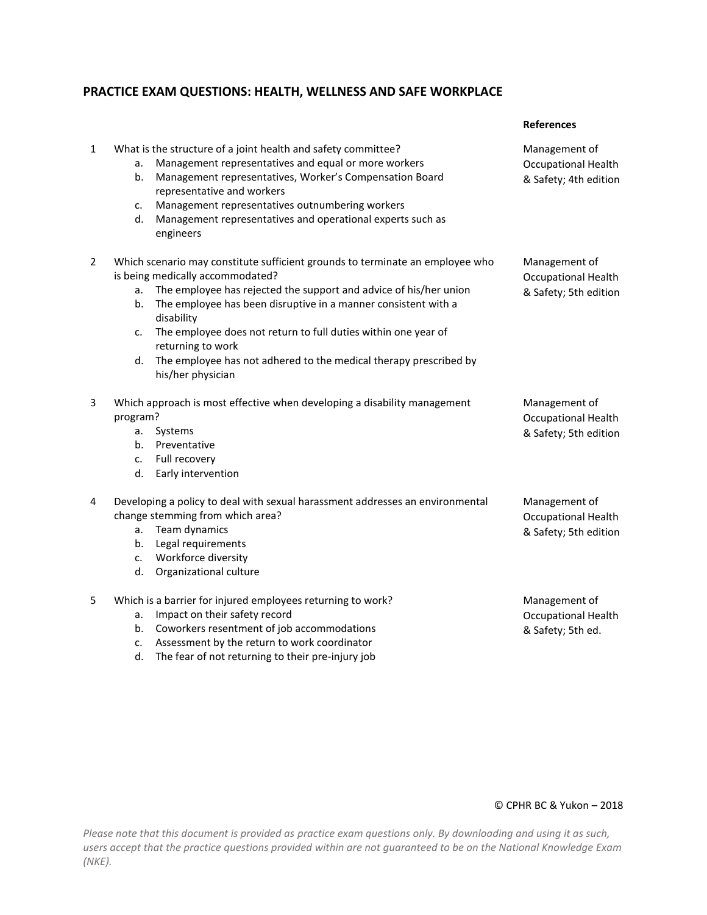## **PRACTICE EXAM QUESTIONS: HEALTH, WELLNESS AND SAFE WORKPLACE**

|              |                                                                                                                                                                                                                                                                                                                                                                                                                                                                                 | <b>References</b>                                                    |
|--------------|---------------------------------------------------------------------------------------------------------------------------------------------------------------------------------------------------------------------------------------------------------------------------------------------------------------------------------------------------------------------------------------------------------------------------------------------------------------------------------|----------------------------------------------------------------------|
| $\mathbf{1}$ | What is the structure of a joint health and safety committee?<br>Management representatives and equal or more workers<br>а.<br>Management representatives, Worker's Compensation Board<br>b.<br>representative and workers<br>Management representatives outnumbering workers<br>c.<br>Management representatives and operational experts such as<br>d.<br>engineers                                                                                                            | Management of<br><b>Occupational Health</b><br>& Safety; 4th edition |
| 2            | Which scenario may constitute sufficient grounds to terminate an employee who<br>is being medically accommodated?<br>The employee has rejected the support and advice of his/her union<br>a.<br>The employee has been disruptive in a manner consistent with a<br>b.<br>disability<br>The employee does not return to full duties within one year of<br>c.<br>returning to work<br>The employee has not adhered to the medical therapy prescribed by<br>d.<br>his/her physician | Management of<br><b>Occupational Health</b><br>& Safety; 5th edition |
| 3            | Which approach is most effective when developing a disability management<br>program?<br>Systems<br>a.<br>Preventative<br>b.<br>Full recovery<br>c.<br>Early intervention<br>d.                                                                                                                                                                                                                                                                                                  | Management of<br><b>Occupational Health</b><br>& Safety; 5th edition |
| 4            | Developing a policy to deal with sexual harassment addresses an environmental<br>change stemming from which area?<br>Team dynamics<br>a.<br>Legal requirements<br>b.<br>Workforce diversity<br>c.<br>Organizational culture<br>d.                                                                                                                                                                                                                                               | Management of<br><b>Occupational Health</b><br>& Safety; 5th edition |
| 5            | Which is a barrier for injured employees returning to work?<br>Impact on their safety record<br>a.<br>Coworkers resentment of job accommodations<br>b.<br>Assessment by the return to work coordinator<br>c.<br>The fear of not returning to their pre-injury job<br>d.                                                                                                                                                                                                         | Management of<br><b>Occupational Health</b><br>& Safety; 5th ed.     |

## © CPHR BC & Yukon – 2018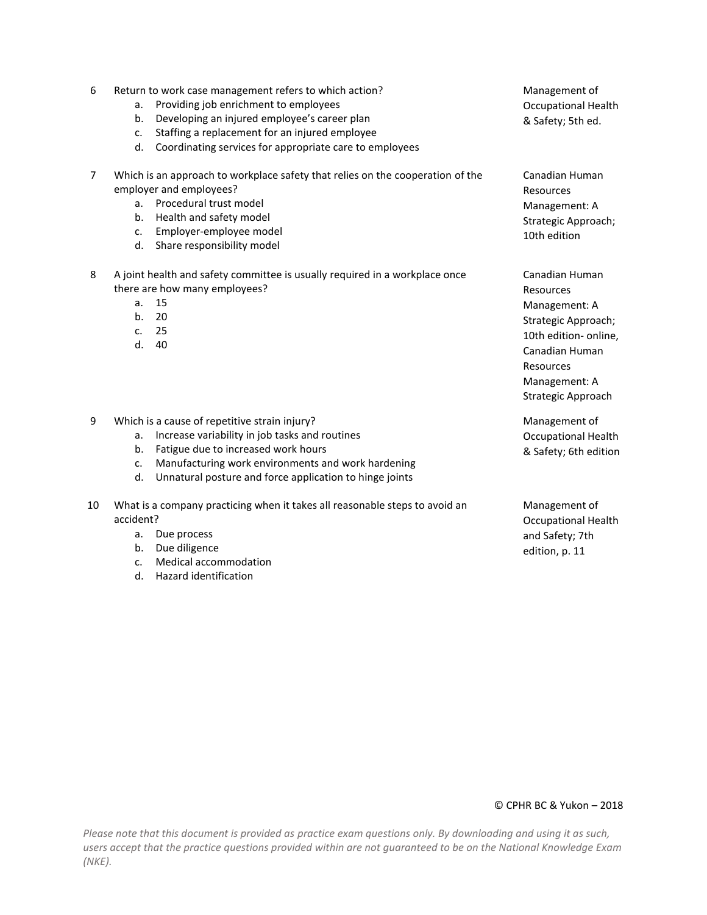| 6              | Return to work case management refers to which action?<br>Providing job enrichment to employees<br>a.<br>Developing an injured employee's career plan<br>b.<br>Staffing a replacement for an injured employee<br>c.                                                             | Management of<br><b>Occupational Health</b><br>& Safety; 5th ed.                                                                                                   |
|----------------|---------------------------------------------------------------------------------------------------------------------------------------------------------------------------------------------------------------------------------------------------------------------------------|--------------------------------------------------------------------------------------------------------------------------------------------------------------------|
|                | Coordinating services for appropriate care to employees<br>d.                                                                                                                                                                                                                   |                                                                                                                                                                    |
| $\overline{7}$ | Which is an approach to workplace safety that relies on the cooperation of the<br>employer and employees?<br>a. Procedural trust model<br>Health and safety model<br>b.<br>Employer-employee model<br>$C_{1}$<br>Share responsibility model<br>d.                               | Canadian Human<br>Resources<br>Management: A<br>Strategic Approach;<br>10th edition                                                                                |
| 8              | A joint health and safety committee is usually required in a workplace once<br>there are how many employees?<br>15<br>a.<br>b.<br>20<br>25<br>C <sub>1</sub><br>d.<br>40                                                                                                        | Canadian Human<br>Resources<br>Management: A<br>Strategic Approach;<br>10th edition- online,<br>Canadian Human<br>Resources<br>Management: A<br>Strategic Approach |
| 9              | Which is a cause of repetitive strain injury?<br>Increase variability in job tasks and routines<br>a.<br>Fatigue due to increased work hours<br>b.<br>Manufacturing work environments and work hardening<br>c.<br>Unnatural posture and force application to hinge joints<br>d. | Management of<br><b>Occupational Health</b><br>& Safety; 6th edition                                                                                               |
| 10             | What is a company practicing when it takes all reasonable steps to avoid an<br>accident?                                                                                                                                                                                        | Management of<br><b>Occupational Health</b>                                                                                                                        |

- accident? a. Due process
	- b. Due diligence
	- c. Medical accommodation
	- d. Hazard identification

and Safety; 7th edition, p. 11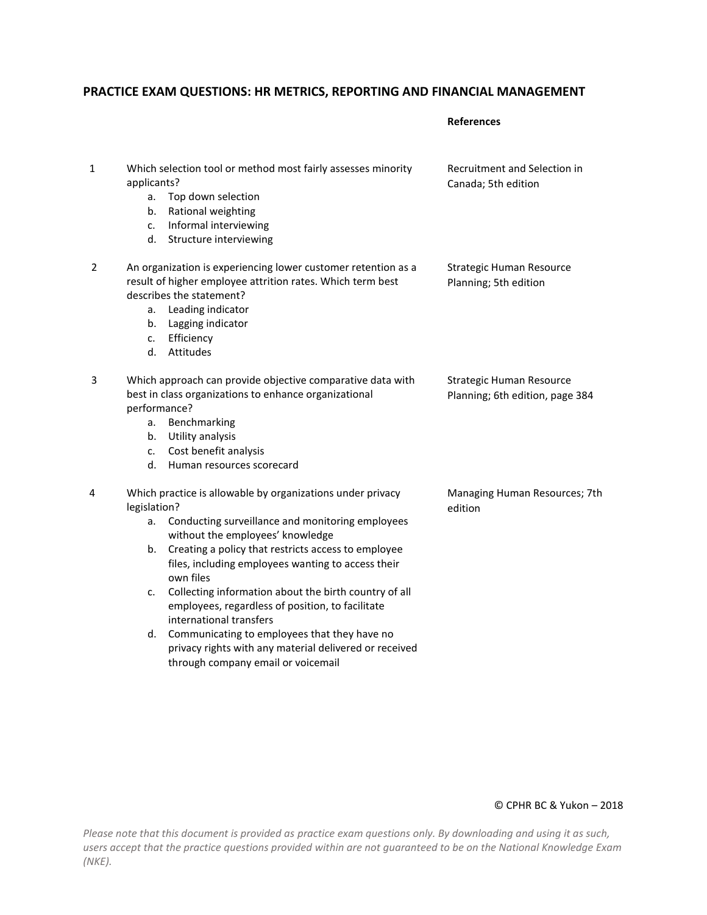# **PRACTICE EXAM QUESTIONS: HR METRICS, REPORTING AND FINANCIAL MANAGEMENT**

**References**

| 1 | applicants?<br>a.<br>b.<br>c.<br>d.  | Which selection tool or method most fairly assesses minority<br>Top down selection<br>Rational weighting<br>Informal interviewing<br>Structure interviewing                                                                                                                                                                                                                                                                                                                                                                                                          | Recruitment and Selection in<br>Canada; 5th edition         |
|---|--------------------------------------|----------------------------------------------------------------------------------------------------------------------------------------------------------------------------------------------------------------------------------------------------------------------------------------------------------------------------------------------------------------------------------------------------------------------------------------------------------------------------------------------------------------------------------------------------------------------|-------------------------------------------------------------|
| 2 | a.<br>b.<br>c.                       | An organization is experiencing lower customer retention as a<br>result of higher employee attrition rates. Which term best<br>describes the statement?<br>Leading indicator<br>Lagging indicator<br>Efficiency<br>d. Attitudes                                                                                                                                                                                                                                                                                                                                      | Strategic Human Resource<br>Planning; 5th edition           |
| 3 | performance?<br>a.<br>b.<br>c.<br>d. | Which approach can provide objective comparative data with<br>best in class organizations to enhance organizational<br>Benchmarking<br>Utility analysis<br>Cost benefit analysis<br>Human resources scorecard                                                                                                                                                                                                                                                                                                                                                        | Strategic Human Resource<br>Planning; 6th edition, page 384 |
| 4 | legislation?<br>a.<br>b.<br>c.<br>d. | Which practice is allowable by organizations under privacy<br>Conducting surveillance and monitoring employees<br>without the employees' knowledge<br>Creating a policy that restricts access to employee<br>files, including employees wanting to access their<br>own files<br>Collecting information about the birth country of all<br>employees, regardless of position, to facilitate<br>international transfers<br>Communicating to employees that they have no<br>privacy rights with any material delivered or received<br>through company email or voicemail | Managing Human Resources; 7th<br>edition                    |

### © CPHR BC & Yukon – 2018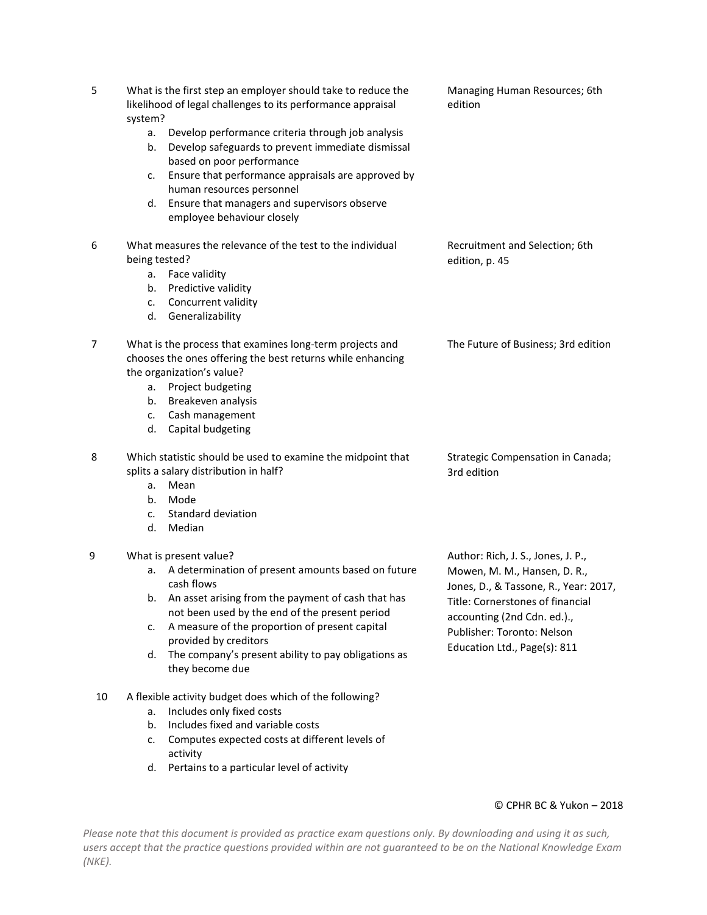| 5                                                                               | What is the first step an employer should take to reduce the<br>Managing Human Resources; 6th<br>likelihood of legal challenges to its performance appraisal<br>edition<br>system? |                                                                                                                                     |                                                                       |
|---------------------------------------------------------------------------------|------------------------------------------------------------------------------------------------------------------------------------------------------------------------------------|-------------------------------------------------------------------------------------------------------------------------------------|-----------------------------------------------------------------------|
|                                                                                 | а.<br>b.                                                                                                                                                                           | Develop performance criteria through job analysis<br>Develop safeguards to prevent immediate dismissal<br>based on poor performance |                                                                       |
|                                                                                 | c.                                                                                                                                                                                 | Ensure that performance appraisals are approved by<br>human resources personnel                                                     |                                                                       |
|                                                                                 |                                                                                                                                                                                    | d. Ensure that managers and supervisors observe<br>employee behaviour closely                                                       |                                                                       |
| What measures the relevance of the test to the individual<br>6<br>being tested? |                                                                                                                                                                                    | Recruitment and Selection; 6th<br>edition, p. 45                                                                                    |                                                                       |
|                                                                                 | а.                                                                                                                                                                                 | Face validity                                                                                                                       |                                                                       |
|                                                                                 | b.                                                                                                                                                                                 | Predictive validity                                                                                                                 |                                                                       |
|                                                                                 | c.                                                                                                                                                                                 | Concurrent validity                                                                                                                 |                                                                       |
|                                                                                 |                                                                                                                                                                                    | d. Generalizability                                                                                                                 |                                                                       |
| 7                                                                               |                                                                                                                                                                                    | What is the process that examines long-term projects and<br>chooses the ones offering the best returns while enhancing              | The Future of Business; 3rd edition                                   |
|                                                                                 |                                                                                                                                                                                    | the organization's value?                                                                                                           |                                                                       |
|                                                                                 | а.                                                                                                                                                                                 | Project budgeting                                                                                                                   |                                                                       |
|                                                                                 |                                                                                                                                                                                    | b. Breakeven analysis                                                                                                               |                                                                       |
|                                                                                 | d.                                                                                                                                                                                 | c. Cash management<br>Capital budgeting                                                                                             |                                                                       |
|                                                                                 |                                                                                                                                                                                    |                                                                                                                                     |                                                                       |
| 8                                                                               |                                                                                                                                                                                    | Which statistic should be used to examine the midpoint that                                                                         | Strategic Compensation in Canada;                                     |
|                                                                                 |                                                                                                                                                                                    | splits a salary distribution in half?                                                                                               | 3rd edition                                                           |
|                                                                                 | a.                                                                                                                                                                                 | Mean                                                                                                                                |                                                                       |
|                                                                                 | b.                                                                                                                                                                                 | Mode<br>Standard deviation                                                                                                          |                                                                       |
|                                                                                 | c.<br>d.                                                                                                                                                                           | Median                                                                                                                              |                                                                       |
|                                                                                 |                                                                                                                                                                                    |                                                                                                                                     |                                                                       |
| 9                                                                               |                                                                                                                                                                                    | What is present value?                                                                                                              | Author: Rich, J. S., Jones, J. P.,                                    |
|                                                                                 |                                                                                                                                                                                    | a. A determination of present amounts based on future<br>cash flows                                                                 | Mowen, M. M., Hansen, D. R.,<br>Jones, D., & Tassone, R., Year: 2017, |
|                                                                                 |                                                                                                                                                                                    | b. An asset arising from the payment of cash that has<br>not been used by the end of the present period                             | Title: Cornerstones of financial                                      |
|                                                                                 | c.                                                                                                                                                                                 | A measure of the proportion of present capital                                                                                      | accounting (2nd Cdn. ed.).,<br>Publisher: Toronto: Nelson             |
|                                                                                 | d.                                                                                                                                                                                 | provided by creditors<br>The company's present ability to pay obligations as                                                        | Education Ltd., Page(s): 811                                          |
|                                                                                 |                                                                                                                                                                                    | they become due                                                                                                                     |                                                                       |
| 10                                                                              |                                                                                                                                                                                    | A flexible activity budget does which of the following?                                                                             |                                                                       |
|                                                                                 | a.                                                                                                                                                                                 | Includes only fixed costs                                                                                                           |                                                                       |
|                                                                                 | b.                                                                                                                                                                                 | Includes fixed and variable costs                                                                                                   |                                                                       |
|                                                                                 | c.                                                                                                                                                                                 | Computes expected costs at different levels of<br>activity                                                                          |                                                                       |

*Please note that this document is provided as practice exam questions only. By downloading and using it as such, users accept that the practice questions provided within are not guaranteed to be on the National Knowledge Exam (NKE).*

d. Pertains to a particular level of activity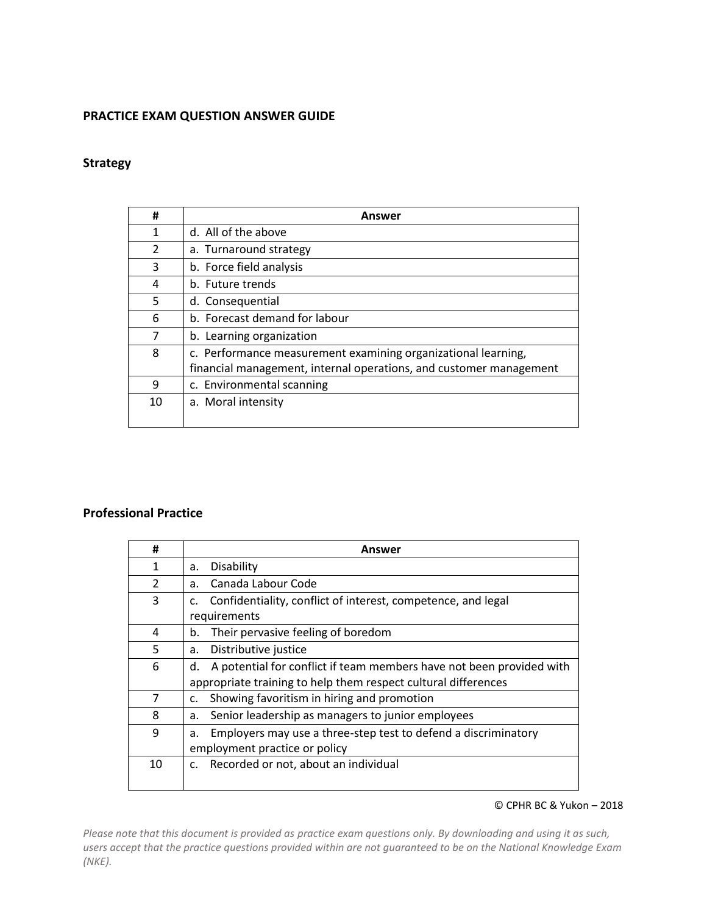## **PRACTICE EXAM QUESTION ANSWER GUIDE**

## **Strategy**

| #              | Answer                                                             |
|----------------|--------------------------------------------------------------------|
| 1              | d. All of the above                                                |
| $\overline{2}$ | a. Turnaround strategy                                             |
| 3              | b. Force field analysis                                            |
| 4              | b. Future trends                                                   |
| 5              | d. Consequential                                                   |
| 6              | b. Forecast demand for labour                                      |
| 7              | b. Learning organization                                           |
| 8              | c. Performance measurement examining organizational learning,      |
|                | financial management, internal operations, and customer management |
| 9              | c. Environmental scanning                                          |
| 10             | a. Moral intensity                                                 |
|                |                                                                    |

# **Professional Practice**

| #             | Answer                                                                     |
|---------------|----------------------------------------------------------------------------|
| 1             | Disability<br>a.                                                           |
| $\mathcal{P}$ | Canada Labour Code<br>a.                                                   |
| 3             | Confidentiality, conflict of interest, competence, and legal               |
|               | requirements                                                               |
| 4             | Their pervasive feeling of boredom<br>b.                                   |
| 5             | Distributive justice<br>a.                                                 |
| 6             | A potential for conflict if team members have not been provided with<br>d. |
|               | appropriate training to help them respect cultural differences             |
| 7             | Showing favoritism in hiring and promotion<br>c.                           |
| 8             | Senior leadership as managers to junior employees<br>a.                    |
| 9             | Employers may use a three-step test to defend a discriminatory<br>a.       |
|               | employment practice or policy                                              |
| 10            | Recorded or not, about an individual<br>c.                                 |

#### © CPHR BC & Yukon – 2018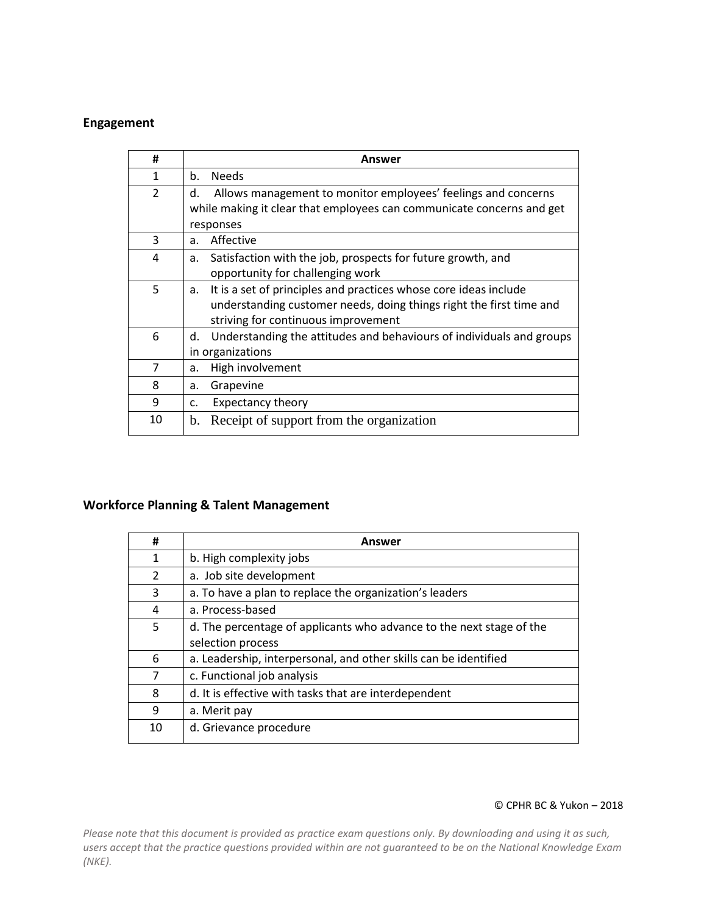# **Engagement**

| #                        | Answer                                                                                                                                                                               |
|--------------------------|--------------------------------------------------------------------------------------------------------------------------------------------------------------------------------------|
| $\mathbf{1}$             | <b>Needs</b><br>b.                                                                                                                                                                   |
| $\overline{\mathcal{L}}$ | Allows management to monitor employees' feelings and concerns<br>d.<br>while making it clear that employees can communicate concerns and get<br>responses                            |
| 3                        | Affective<br>a.                                                                                                                                                                      |
| 4                        | Satisfaction with the job, prospects for future growth, and<br>а.<br>opportunity for challenging work                                                                                |
| 5                        | It is a set of principles and practices whose core ideas include<br>a.<br>understanding customer needs, doing things right the first time and<br>striving for continuous improvement |
| 6                        | Understanding the attitudes and behaviours of individuals and groups<br>d.<br>in organizations                                                                                       |
| 7                        | High involvement<br>a.                                                                                                                                                               |
| 8                        | Grapevine<br>а.                                                                                                                                                                      |
| 9                        | <b>Expectancy theory</b><br>c.                                                                                                                                                       |
| 10                       | Receipt of support from the organization<br>$b_{\cdot}$                                                                                                                              |

# **Workforce Planning & Talent Management**

| #             | Answer                                                               |
|---------------|----------------------------------------------------------------------|
| 1             | b. High complexity jobs                                              |
| $\mathcal{P}$ | a. Job site development                                              |
| 3             | a. To have a plan to replace the organization's leaders              |
| 4             | a. Process-based                                                     |
| 5             | d. The percentage of applicants who advance to the next stage of the |
|               | selection process                                                    |
| 6             | a. Leadership, interpersonal, and other skills can be identified     |
| 7             | c. Functional job analysis                                           |
| 8             | d. It is effective with tasks that are interdependent                |
| 9             | a. Merit pay                                                         |
| 10            | d. Grievance procedure                                               |
|               |                                                                      |

#### © CPHR BC & Yukon – 2018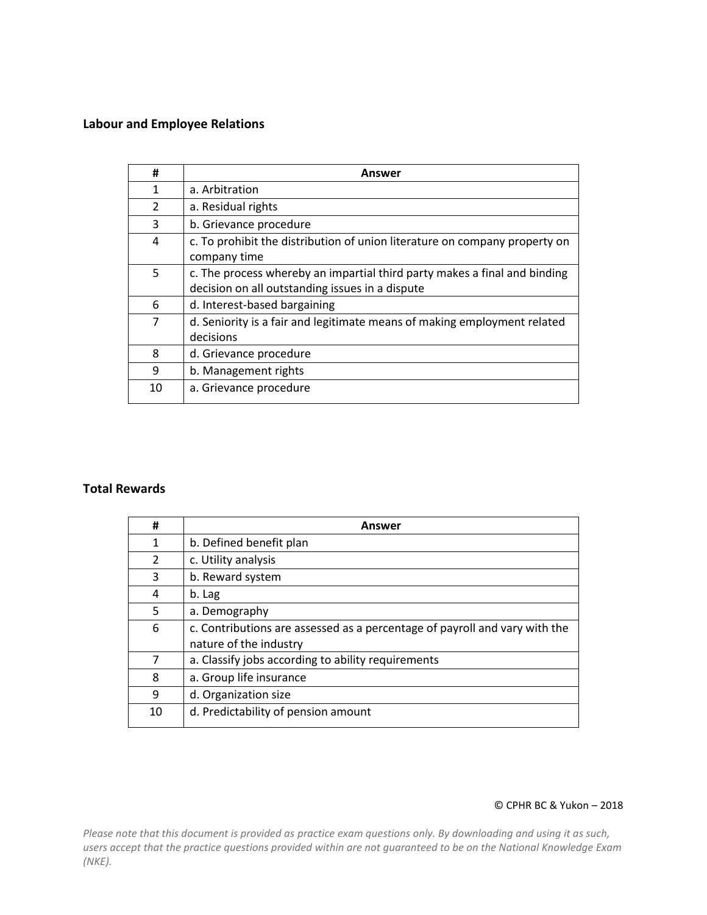# **Labour and Employee Relations**

| #              | Answer                                                                                                                       |
|----------------|------------------------------------------------------------------------------------------------------------------------------|
| 1              | a. Arbitration                                                                                                               |
| $\overline{2}$ | a. Residual rights                                                                                                           |
| 3              | b. Grievance procedure                                                                                                       |
| 4              | c. To prohibit the distribution of union literature on company property on<br>company time                                   |
| 5              | c. The process whereby an impartial third party makes a final and binding<br>decision on all outstanding issues in a dispute |
| 6              | d. Interest-based bargaining                                                                                                 |
| 7              | d. Seniority is a fair and legitimate means of making employment related<br>decisions                                        |
| 8              | d. Grievance procedure                                                                                                       |
| 9              | b. Management rights                                                                                                         |
| 10             | a. Grievance procedure                                                                                                       |

## **Total Rewards**

| #  | <b>Answer</b>                                                              |
|----|----------------------------------------------------------------------------|
| 1  | b. Defined benefit plan                                                    |
| 2  | c. Utility analysis                                                        |
| 3  | b. Reward system                                                           |
| 4  | b. Lag                                                                     |
| 5  | a. Demography                                                              |
| 6  | c. Contributions are assessed as a percentage of payroll and vary with the |
|    | nature of the industry                                                     |
| 7  | a. Classify jobs according to ability requirements                         |
| 8  | a. Group life insurance                                                    |
| 9  | d. Organization size                                                       |
| 10 | d. Predictability of pension amount                                        |

### © CPHR BC & Yukon – 2018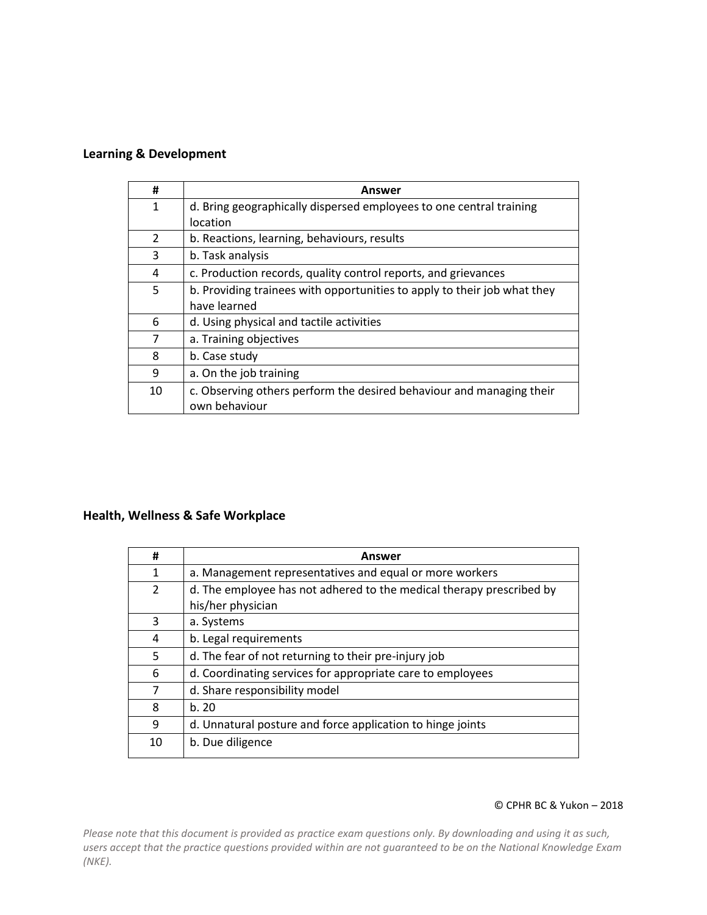# **Learning & Development**

| #             | Answer                                                                   |
|---------------|--------------------------------------------------------------------------|
| 1             | d. Bring geographically dispersed employees to one central training      |
|               | location                                                                 |
| $\mathcal{P}$ | b. Reactions, learning, behaviours, results                              |
| 3             | b. Task analysis                                                         |
| 4             | c. Production records, quality control reports, and grievances           |
| 5             | b. Providing trainees with opportunities to apply to their job what they |
|               | have learned                                                             |
| 6             | d. Using physical and tactile activities                                 |
| 7             | a. Training objectives                                                   |
| 8             | b. Case study                                                            |
| 9             | a. On the job training                                                   |
| 10            | c. Observing others perform the desired behaviour and managing their     |
|               | own behaviour                                                            |

# **Health, Wellness & Safe Workplace**

| #              | Answer                                                               |
|----------------|----------------------------------------------------------------------|
| $\mathbf{1}$   | a. Management representatives and equal or more workers              |
| $\overline{2}$ | d. The employee has not adhered to the medical therapy prescribed by |
|                | his/her physician                                                    |
| 3              | a. Systems                                                           |
| 4              | b. Legal requirements                                                |
| 5              | d. The fear of not returning to their pre-injury job                 |
| 6              | d. Coordinating services for appropriate care to employees           |
| 7              | d. Share responsibility model                                        |
| 8              | b.20                                                                 |
| 9              | d. Unnatural posture and force application to hinge joints           |
| 10             | b. Due diligence                                                     |

#### © CPHR BC & Yukon – 2018